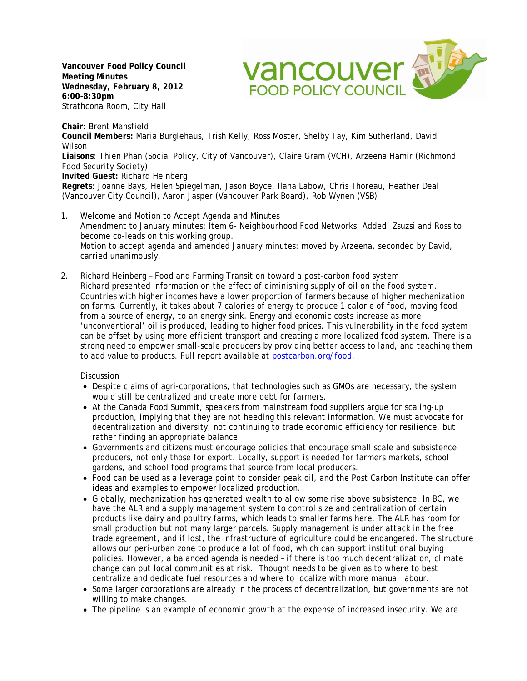**Vancouver Food Policy Council Meeting Minutes Wednesday, February 8, 2012 6:00-8:30pm** Strathcona Room, City Hall



**Chair**: Brent Mansfield **Council Members:** Maria Burglehaus, Trish Kelly, Ross Moster, Shelby Tay, Kim Sutherland, David Wilson **Liaisons**: Thien Phan (Social Policy, City of Vancouver), Claire Gram (VCH), Arzeena Hamir (Richmond Food Security Society) **Invited Guest:** Richard Heinberg **Regrets**: Joanne Bays, Helen Spiegelman, Jason Boyce, Ilana Labow, Chris Thoreau, Heather Deal (Vancouver City Council), Aaron Jasper (Vancouver Park Board), Rob Wynen (VSB)

- 1. Welcome and Motion to Accept Agenda and Minutes Amendment to January minutes: Item 6- Neighbourhood Food Networks. Added: Zsuzsi and Ross to become co-leads on this working group. Motion to accept agenda and amended January minutes: moved by Arzeena, seconded by David, carried unanimously.
- 2. Richard Heinberg Food and Farming Transition toward a post-carbon food system Richard presented information on the effect of diminishing supply of oil on the food system. Countries with higher incomes have a lower proportion of farmers because of higher mechanization on farms. Currently, it takes about 7 calories of energy to produce 1 calorie of food, moving food from a source of energy, to an energy sink. Energy and economic costs increase as more 'unconventional' oil is produced, leading to higher food prices. This vulnerability in the food system can be offset by using more efficient transport and creating a more localized food system. There is a strong need to empower small-scale producers by providing better access to land, and teaching them to add value to products. Full report available at postcarbon.org/food.

**Discussion** 

- Despite claims of agri-corporations, that technologies such as GMOs are necessary, the system would still be centralized and create more debt for farmers.
- At the Canada Food Summit, speakers from mainstream food suppliers argue for scaling-up production, implying that they are not heeding this relevant information. We must advocate for decentralization and diversity, not continuing to trade economic efficiency for resilience, but rather finding an appropriate balance.
- Governments and citizens must encourage policies that encourage small scale and subsistence producers, not only those for export. Locally, support is needed for farmers markets, school gardens, and school food programs that source from local producers.
- Food can be used as a leverage point to consider peak oil, and the Post Carbon Institute can offer ideas and examples to empower localized production.
- Globally, mechanization has generated wealth to allow some rise above subsistence. In BC, we have the ALR and a supply management system to control size and centralization of certain products like dairy and poultry farms, which leads to smaller farms here. The ALR has room for small production but not many larger parcels. Supply management is under attack in the free trade agreement, and if lost, the infrastructure of agriculture could be endangered. The structure allows our peri-urban zone to produce a lot of food, which can support institutional buying policies. However, a balanced agenda is needed – if there is too much decentralization, climate change can put local communities at risk. Thought needs to be given as to where to best centralize and dedicate fuel resources and where to localize with more manual labour.
- Some larger corporations are already in the process of decentralization, but governments are not willing to make changes.
- The pipeline is an example of economic growth at the expense of increased insecurity. We are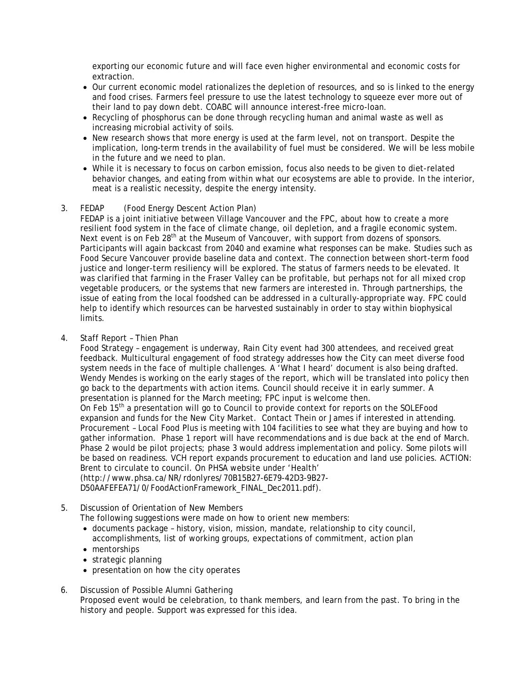exporting our economic future and will face even higher environmental and economic costs for extraction.

- Our current economic model rationalizes the depletion of resources, and so is linked to the energy and food crises. Farmers feel pressure to use the latest technology to squeeze ever more out of their land to pay down debt. COABC will announce interest-free micro-loan.
- Recycling of phosphorus can be done through recycling human and animal waste as well as increasing microbial activity of soils.
- New research shows that more energy is used at the farm level, not on transport. Despite the implication, long-term trends in the availability of fuel must be considered. We will be less mobile in the future and we need to plan.
- While it is necessary to focus on carbon emission, focus also needs to be given to diet-related behavior changes, and eating from within what our ecosystems are able to provide. In the interior, meat is a realistic necessity, despite the energy intensity.
- 3. FEDAP (Food Energy Descent Action Plan)

FEDAP is a joint initiative between Village Vancouver and the FPC, about how to create a more resilient food system in the face of climate change, oil depletion, and a fragile economic system. Next event is on Feb 28<sup>th</sup> at the Museum of Vancouver, with support from dozens of sponsors. Participants will again backcast from 2040 and examine what responses can be make. Studies such as Food Secure Vancouver provide baseline data and context. The connection between short-term food justice and longer-term resiliency will be explored. The status of farmers needs to be elevated. It was clarified that farming in the Fraser Valley can be profitable, but perhaps not for all mixed crop vegetable producers, or the systems that new farmers are interested in. Through partnerships, the issue of eating from the local foodshed can be addressed in a culturally-appropriate way. FPC could help to identify which resources can be harvested sustainably in order to stay within biophysical limits.

4. Staff Report – Thien Phan

Food Strategy – engagement is underway, Rain City event had 300 attendees, and received great feedback. Multicultural engagement of food strategy addresses how the City can meet diverse food system needs in the face of multiple challenges. A 'What I heard' document is also being drafted. Wendy Mendes is working on the early stages of the report, which will be translated into policy then go back to the departments with action items. Council should receive it in early summer. A presentation is planned for the March meeting; FPC input is welcome then.

On Feb  $15<sup>th</sup>$  a presentation will go to Council to provide context for reports on the SOLEFood expansion and funds for the New City Market. Contact Thein or James if interested in attending. Procurement – Local Food Plus is meeting with 104 facilities to see what they are buying and how to gather information. Phase 1 report will have recommendations and is due back at the end of March. Phase 2 would be pilot projects; phase 3 would address implementation and policy. Some pilots will be based on readiness. VCH report expands procurement to education and land use policies. ACTION: Brent to circulate to council. On PHSA website under 'Health'

(http://www.phsa.ca/NR/rdonlyres/70B15B27-6E79-42D3-9B27- D50AAFEFEA71/0/FoodActionFramework\_FINAL\_Dec2011.pdf).

5. Discussion of Orientation of New Members

The following suggestions were made on how to orient new members:

- documents package history, vision, mission, mandate, relationship to city council, accomplishments, list of working groups, expectations of commitment, action plan
- mentorships
- strategic planning
- presentation on how the city operates
- 6. Discussion of Possible Alumni Gathering Proposed event would be celebration, to thank members, and learn from the past. To bring in the history and people. Support was expressed for this idea.